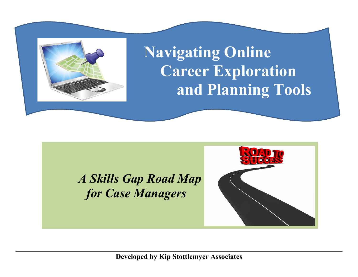

# **Navigating Online Career Exploration and Planning Tools**

# *A Skills Gap Road Map for Case Managers*



**Developed by Kip Stottlemyer Associates**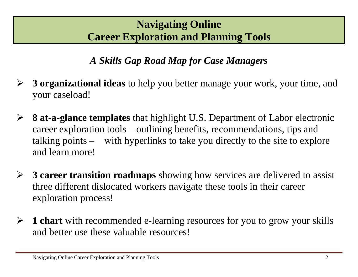### **Navigating Online Career Exploration and Planning Tools**

*A Skills Gap Road Map for Case Managers* 

- **3 organizational ideas** to help you better manage your work, your time, and your caseload!
- **8 at-a-glance templates** that highlight U.S. Department of Labor electronic career exploration tools – outlining benefits, recommendations, tips and talking points – with hyperlinks to take you directly to the site to explore and learn more!
- **3 career transition roadmaps** showing how services are delivered to assist three different dislocated workers navigate these tools in their career exploration process!
- **1 chart** with recommended e-learning resources for you to grow your skills and better use these valuable resources!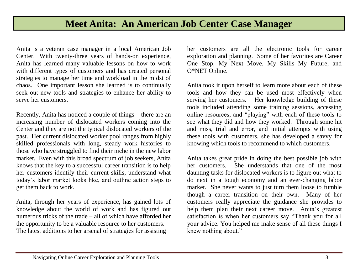#### **Meet Anita: An American Job Center Case Manager**

Anita is a veteran case manager in a local American Job Center. With twenty-three years of hands-on experience, Anita has learned many valuable lessons on how to work with different types of customers and has created personal strategies to manage her time and workload in the midst of chaos. One important lesson she learned is to continually seek out new tools and strategies to enhance her ability to serve her customers.

Recently, Anita has noticed a couple of things – there are an increasing number of dislocated workers coming into the Center and they are not the typical dislocated workers of the past. Her current dislocated worker pool ranges from highly skilled professionals with long, steady work histories to those who have struggled to find their niche in the new labor market. Even with this broad spectrum of job seekers, Anita knows that the key to a successful career transition is to help her customers identify their current skills, understand what today's labor market looks like, and outline action steps to get them back to work.

Anita, through her years of experience, has gained lots of knowledge about the world of work and has figured out numerous tricks of the trade – all of which have afforded her the opportunity to be a valuable resource to her customers. The latest additions to her arsenal of strategies for assisting

her customers are all the electronic tools for career exploration and planning. Some of her favorites are Career One Stop, My Next Move, My Skills My Future, and O\*NET Online.

Anita took it upon herself to learn more about each of these tools and how they can be used most effectively when serving her customers. Her knowledge building of these tools included attending some training sessions, accessing online resources, and "playing" with each of these tools to see what they did and how they worked. Through some hit and miss, trial and error, and initial attempts with using these tools with customers, she has developed a savvy for knowing which tools to recommend to which customers.

Anita takes great pride in doing the best possible job with her customers. She understands that one of the most daunting tasks for dislocated workers is to figure out what to do next in a tough economy and an ever-changing labor market. She never wants to just turn them loose to fumble though a career transition on their own. Many of her customers really appreciate the guidance she provides to help them plan their next career move. Anita's greatest satisfaction is when her customers say "Thank you for all your advice. You helped me make sense of all these things I knew nothing about."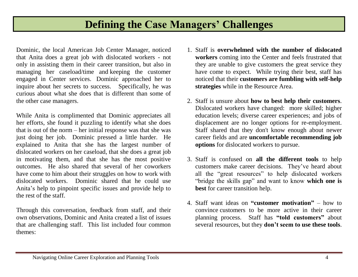#### **Defining the Case Managers' Challenges**

Dominic, the local American Job Center Manager, noticed that Anita does a great job with dislocated workers - not only in assisting them in their career transition, but also in managing her caseload/time and keeping the customer engaged in Center services. Dominic approached her to inquire about her secrets to success. Specifically, he was curious about what she does that is different than some of the other case managers.

While Anita is complimented that Dominic appreciates all her efforts, she found it puzzling to identify what she does that is out of the norm – her initial response was that she was just doing her job. Dominic pressed a little harder. He explained to Anita that she has the largest number of dislocated workers on her caseload, that she does a great job in motivating them, and that she has the most positive outcomes. He also shared that several of her coworkers have come to him about their struggles on how to work with dislocated workers. Dominic shared that he could use Anita's help to pinpoint specific issues and provide help to the rest of the staff.

Through this conversation, feedback from staff, and their own observations, Dominic and Anita created a list of issues that are challenging staff. This list included four common themes:

- 1. Staff is **overwhelmed with the number of dislocated workers** coming into the Center and feels frustrated that they are unable to give customers the great service they have come to expect. While trying their best, staff has noticed that their **customers are fumbling with self-help strategies** while in the Resource Area.
- 2. Staff is unsure about **how to best help their customers**. Dislocated workers have changed: more skilled; higher education levels; diverse career experiences; and jobs of displacement are no longer options for re-employment. Staff shared that they don't know enough about newer career fields and are **uncomfortable recommending job options** for dislocated workers to pursue.
- 3. Staff is confused on **all the different tools** to help customers make career decisions. They've heard about all the "great resources" to help dislocated workers "bridge the skills gap" and want to know **which one is best** for career transition help.
- 4. Staff want ideas on **"customer motivation"** how to convince customers to be more active in their career planning process. Staff has **"told customers"** about several resources, but they **don't seem to use these tools**.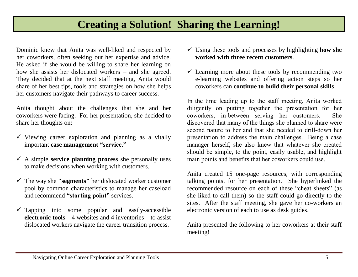#### **Creating a Solution! Sharing the Learning!**

Dominic knew that Anita was well-liked and respected by her coworkers, often seeking out her expertise and advice. He asked if she would be willing to share her learning on how she assists her dislocated workers – and she agreed. They decided that at the next staff meeting, Anita would share of her best tips, tools and strategies on how she helps her customers navigate their pathways to career success.

Anita thought about the challenges that she and her coworkers were facing. For her presentation, she decided to share her thoughts on:

- $\checkmark$  Viewing career exploration and planning as a vitally important **case management "service."**
- $\checkmark$  A simple **service planning process** she personally uses to make decisions when working with customers.
- The way she **"segments"** her dislocated worker customer pool by common characteristics to manage her caseload and recommend **"starting point"** services.
- $\checkmark$  Tapping into some popular and easily-accessible **electronic tools** – 4 websites and 4 inventories – to assist dislocated workers navigate the career transition process.
- Using these tools and processes by highlighting **how she worked with three recent customers**.
- $\checkmark$  Learning more about these tools by recommending two e-learning websites and offering action steps so her coworkers can **continue to build their personal skills**.

In the time leading up to the staff meeting, Anita worked diligently on putting together the presentation for her coworkers, in-between serving her customers. She discovered that many of the things she planned to share were second nature to her and that she needed to drill-down her presentation to address the main challenges. Being a case manager herself, she also knew that whatever she created should be simple, to the point, easily usable, and highlight main points and benefits that her coworkers could use.

Anita created 15 one-page resources, with corresponding talking points, for her presentation. She hyperlinked the recommended resource on each of these "cheat sheets" (as she liked to call them) so the staff could go directly to the sites. After the staff meeting, she gave her co-workers an electronic version of each to use as desk guides.

Anita presented the following to her coworkers at their staff meeting!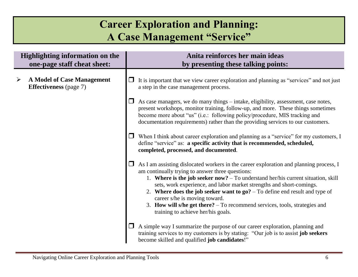## **Career Exploration and Planning: A Case Management "Service"**

| <b>Highlighting information on the</b><br>one-page staff cheat sheet: |                                                                    | Anita reinforces her main ideas<br>by presenting these talking points:                                                                                                                                                                                                                                                                                                                                                                                                                                                                                     |  |
|-----------------------------------------------------------------------|--------------------------------------------------------------------|------------------------------------------------------------------------------------------------------------------------------------------------------------------------------------------------------------------------------------------------------------------------------------------------------------------------------------------------------------------------------------------------------------------------------------------------------------------------------------------------------------------------------------------------------------|--|
| ➤                                                                     | <b>A Model of Case Management</b><br><b>Effectiveness</b> (page 7) | It is important that we view career exploration and planning as "services" and not just<br>a step in the case management process.                                                                                                                                                                                                                                                                                                                                                                                                                          |  |
|                                                                       |                                                                    | As case managers, we do many things – intake, eligibility, assessment, case notes,<br>present workshops, monitor training, follow-up, and more. These things sometimes<br>become more about "us" (i.e.: following policy/procedure, MIS tracking and<br>documentation requirements) rather than the providing services to our customers.                                                                                                                                                                                                                   |  |
|                                                                       |                                                                    | When I think about career exploration and planning as a "service" for my customers, I<br>define "service" as: a specific activity that is recommended, scheduled,<br>completed, processed, and documented.                                                                                                                                                                                                                                                                                                                                                 |  |
|                                                                       |                                                                    | As I am assisting dislocated workers in the career exploration and planning process, I<br>$\Box$<br>am continually trying to answer three questions:<br>1. Where is the job seeker now? $-$ To understand her/his current situation, skill<br>sets, work experience, and labor market strengths and short-comings.<br>2. Where does the job seeker want to $go?$ – To define end result and type of<br>career s/he is moving toward.<br>3. How will s/he get there? $-$ To recommend services, tools, strategies and<br>training to achieve her/his goals. |  |
|                                                                       |                                                                    | A simple way I summarize the purpose of our career exploration, planning and<br>training services to my customers is by stating: "Our job is to assist job seekers<br>become skilled and qualified job candidates!"                                                                                                                                                                                                                                                                                                                                        |  |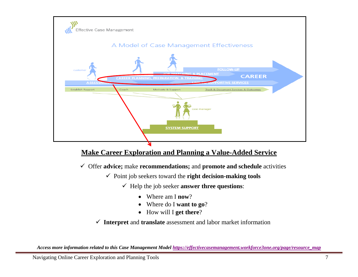

#### **Make Career Exploration and Planning a Value-Added Service**

Offer **advice;** make **recommendations;** and **promote and schedule** activities

- $\checkmark$  Point job seekers toward the **right decision-making tools** 
	- $\checkmark$  Help the job seeker **answer three questions**:
		- Where am I **now**?
		- Where do I **want to go**?
		- How will I **get there**?

**Interpret** and **translate** assessment and labor market information

*Access more information related to this Case Management Model [https://effectivecasemanagement.workforce3one.org/page/resource\\_map](https://effectivecasemanagement.workforce3one.org/page/resource_map)*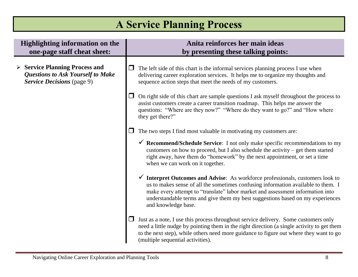# **A Service Planning Process**

| <b>Highlighting information on the</b><br>one-page staff cheat sheet:                                         | Anita reinforces her main ideas<br>by presenting these talking points:                                                                                                                                                                                                                                                                                                    |  |
|---------------------------------------------------------------------------------------------------------------|---------------------------------------------------------------------------------------------------------------------------------------------------------------------------------------------------------------------------------------------------------------------------------------------------------------------------------------------------------------------------|--|
| <b>Service Planning Process and</b><br><b>Questions to Ask Yourself to Make</b><br>Service Decisions (page 9) | The left side of this chart is the informal services planning process I use when<br>delivering career exploration services. It helps me to organize my thoughts and<br>sequence action steps that meet the needs of my customers.                                                                                                                                         |  |
|                                                                                                               | On right side of this chart are sample questions I ask myself throughout the process to<br>assist customers create a career transition roadmap. This helps me answer the<br>questions: "Where are they now?" "Where do they want to go?" and "How where<br>they get there?"                                                                                               |  |
|                                                                                                               | The two steps I find most valuable in motivating my customers are:                                                                                                                                                                                                                                                                                                        |  |
|                                                                                                               | $\checkmark$ Recommend/Schedule Service: I not only make specific recommendations to my<br>customers on how to proceed, but I also schedule the activity – get them started<br>right away, have them do "homework" by the next appointment, or set a time<br>when we can work on it together.                                                                             |  |
|                                                                                                               | $\checkmark$ Interpret Outcomes and Advise: As workforce professionals, customers look to<br>us to makes sense of all the sometimes confusing information available to them. I<br>make every attempt to "translate" labor market and assessment information into<br>understandable terms and give them my best suggestions based on my experiences<br>and knowledge base. |  |
|                                                                                                               | Just as a note, I use this process throughout service delivery. Some customers only<br>need a little nudge by pointing them in the right direction (a single activity to get them<br>to the next step), while others need more guidance to figure out where they want to go<br>(multiple sequential activities).                                                          |  |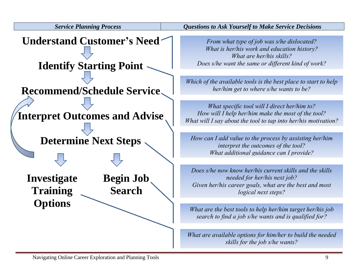

*Service Planning Process Questions to Ask Yourself to Make Service Decisions*

*From what type of job was s/he dislocated? What is her/his work and education history? What are her/his skills? Does s/he want the same or different kind of work?*

*Which of the available tools is the best place to start to help her/him get to where s/he wants to be?*

*What specific tool will I direct her/him to? How will I help her/him make the most of the tool? What will I say about the tool to tap into her/his motivation?*

*How can I add value to the process by assisting her/him interpret the outcomes of the tool? What additional guidance can I provide?*

*Does s/he now know her/his current skills and the skills needed for her/his next job? Given her/his career goals, what are the best and most logical next steps?*

*What are the best tools to help her/him target her/his job search to find a job s/he wants and is qualified for?*

*What are available options for him/her to build the needed skills for the job s/he wants?*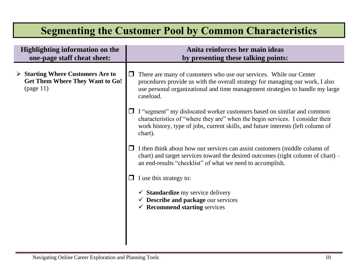### **Segmenting the Customer Pool by Common Characteristics**

| <b>Highlighting information on the</b><br>one-page staff cheat sheet:                                   | Anita reinforces her main ideas<br>by presenting these talking points:                                                                                                                                                                                        |
|---------------------------------------------------------------------------------------------------------|---------------------------------------------------------------------------------------------------------------------------------------------------------------------------------------------------------------------------------------------------------------|
| $\triangleright$ Starting Where Customers Are to<br><b>Get Them Where They Want to Go!</b><br>(page 11) | There are many of customers who use our services. While our Center<br>$\Box$<br>procedures provide us with the overall strategy for managing our work, I also<br>use personal organizational and time management strategies to handle my large<br>caseload.   |
|                                                                                                         | $\Box$ I "segment" my dislocated worker customers based on similar and common<br>characteristics of "where they are" when the begin services. I consider their<br>work history, type of jobs, current skills, and future interests (left column of<br>chart). |
|                                                                                                         | I then think about how our services can assist customers (middle column of<br>$\Box$<br>chart) and target services toward the desired outcomes (right column of chart) –<br>an end-results "checklist" of what we need to accomplish.                         |
|                                                                                                         | I use this strategy to:                                                                                                                                                                                                                                       |
|                                                                                                         | $\checkmark$ Standardize my service delivery<br>$\checkmark$ Describe and package our services<br>$\checkmark$ Recommend starting services                                                                                                                    |
|                                                                                                         |                                                                                                                                                                                                                                                               |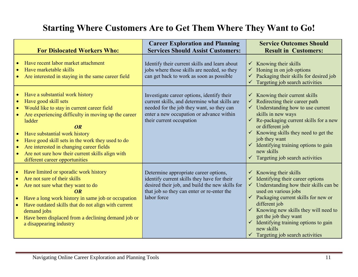#### **Starting Where Customers Are to Get Them Where They Want to Go!**

| <b>For Dislocated Workers Who:</b>                                                                                                                                                                                                                                                                                                                                                                               | <b>Career Exploration and Planning</b><br><b>Services Should Assist Customers:</b>                                                                                                                               | <b>Service Outcomes Should</b><br><b>Result in Customers:</b>                                                                                                                                                                                                                                                                                                                                                                    |
|------------------------------------------------------------------------------------------------------------------------------------------------------------------------------------------------------------------------------------------------------------------------------------------------------------------------------------------------------------------------------------------------------------------|------------------------------------------------------------------------------------------------------------------------------------------------------------------------------------------------------------------|----------------------------------------------------------------------------------------------------------------------------------------------------------------------------------------------------------------------------------------------------------------------------------------------------------------------------------------------------------------------------------------------------------------------------------|
| Have recent labor market attachment<br>Have marketable skills<br>Are interested in staying in the same career field                                                                                                                                                                                                                                                                                              | Identify their current skills and learn about<br>jobs where those skills are needed, so they<br>can get back to work as soon as possible                                                                         | $\checkmark$ Knowing their skills<br>$\checkmark$ Honing in on job options<br>Packaging their skills for desired job<br>Targeting job search activities                                                                                                                                                                                                                                                                          |
| Have a substantial work history<br>Have good skill sets<br>Would like to stay in current career field<br>Are experiencing difficulty in moving up the career<br>ladder<br>OR<br>Have substantial work history<br>Have good skill sets in the work they used to do<br>Are interested in changing career fields<br>$\bullet$<br>Are not sure how their current skills align with<br>different career opportunities | Investigate career options, identify their<br>current skills, and determine what skills are<br>needed for the job they want, so they can<br>enter a new occupation or advance within<br>their current occupation | $\checkmark$ Knowing their current skills<br>$\checkmark$ Redirecting their career path<br>$\checkmark$ Understanding how to use current<br>skills in new ways<br>$\checkmark$ Re-packaging current skills for a new<br>or different job<br>$\checkmark$ Knowing skills they need to get the<br>job they want<br>$\checkmark$ Identifying training options to gain<br>new skills<br>$\checkmark$ Targeting job search activities |
| Have limited or sporadic work history<br>Are not sure of their skills<br>$\bullet$<br>Are not sure what they want to do<br>OR<br>Have a long work history in same job or occupation<br>Have outdated skills that do not align with current<br>demand jobs<br>Have been displaced from a declining demand job or<br>a disappearing industry                                                                       | Determine appropriate career options,<br>identify current skills they have for their<br>desired their job, and build the new skills for<br>that job so they can enter or re-enter the<br>labor force             | Knowing their skills<br>$\checkmark$ Identifying their career options<br>$\checkmark$ Understanding how their skills can be<br>used on various jobs<br>$\checkmark$ Packaging current skills for new or<br>different job<br>$\checkmark$ Knowing new skills they will need to<br>get the job they want<br>$\checkmark$ Identifying training options to gain<br>new skills<br>$\checkmark$ Targeting job search activities        |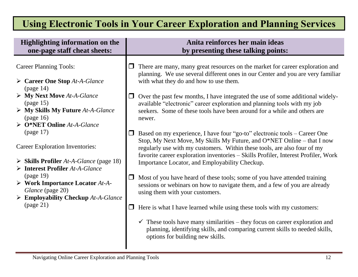#### **Using Electronic Tools in Your Career Exploration and Planning Services**

| <b>Highlighting information on the</b><br>one-page staff cheat sheets:                                                                                                                   | Anita reinforces her main ideas<br>by presenting these talking points:                                                                                                                                                                                                                                                                                                  |
|------------------------------------------------------------------------------------------------------------------------------------------------------------------------------------------|-------------------------------------------------------------------------------------------------------------------------------------------------------------------------------------------------------------------------------------------------------------------------------------------------------------------------------------------------------------------------|
| <b>Career Planning Tools:</b><br>$\triangleright$ Career One Stop At-A-Glance<br>(page 14)                                                                                               | There are many, many great resources on the market for career exploration and<br>planning. We use several different ones in our Center and you are very familiar<br>with what they do and how to use them.                                                                                                                                                              |
| $\triangleright$ My Next Move At-A-Glance<br>$\left(\text{page 15}\right)$<br>$\triangleright$ My Skills My Future At-A-Glance<br>(page 16)<br>$\triangleright$ O*NET Online At-A-Glance | Over the past few months, I have integrated the use of some additional widely-<br>available "electronic" career exploration and planning tools with my job<br>seekers. Some of these tools have been around for a while and others are<br>newer.                                                                                                                        |
| (page 17)<br><b>Career Exploration Inventories:</b><br>$\triangleright$ Skills Profiler At-A-Glance (page 18)<br>$\triangleright$ Interest Profiler At-A-Glance                          | Based on my experience, I have four "go-to" electronic tools – Career One<br>Stop, My Next Move, My Skills My Future, and O*NET Online – that I now<br>regularly use with my customers. Within these tools, are also four of my<br>favorite career exploration inventories - Skills Profiler, Interest Profiler, Work<br>Importance Locator, and Employability Checkup. |
| (page 19)<br>$\triangleright$ Work Importance Locator At-A-<br>Glance (page 20)<br>$\triangleright$ Employability Checkup At-A-Glance                                                    | Most of you have heard of these tools; some of you have attended training<br>sessions or webinars on how to navigate them, and a few of you are already<br>using them with your customers.                                                                                                                                                                              |
| (page 21)                                                                                                                                                                                | Here is what I have learned while using these tools with my customers:<br>$\checkmark$ These tools have many similarities – they focus on career exploration and<br>planning, identifying skills, and comparing current skills to needed skills,<br>options for building new skills.                                                                                    |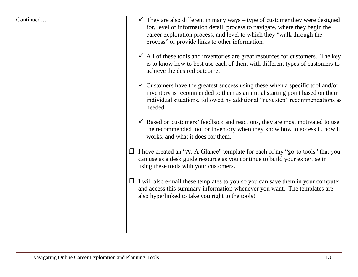- Continued...  $\checkmark$  They are also different in many ways type of customer they were designed for, level of information detail, process to navigate, where they begin the career exploration process, and level to which they "walk through the process" or provide links to other information.
	- $\checkmark$  All of these tools and inventories are great resources for customers. The key is to know how to best use each of them with different types of customers to achieve the desired outcome.
	- $\checkmark$  Customers have the greatest success using these when a specific tool and/or inventory is recommended to them as an initial starting point based on their individual situations, followed by additional "next step" recommendations as needed.
	- $\checkmark$  Based on customers' feedback and reactions, they are most motivated to use the recommended tool or inventory when they know how to access it, how it works, and what it does for them.
	- $\Box$  I have created an "At-A-Glance" template for each of my "go-to tools" that you can use as a desk guide resource as you continue to build your expertise in using these tools with your customers.
	- $\Box$  I will also e-mail these templates to you so you can save them in your computer and access this summary information whenever you want. The templates are also hyperlinked to take you right to the tools!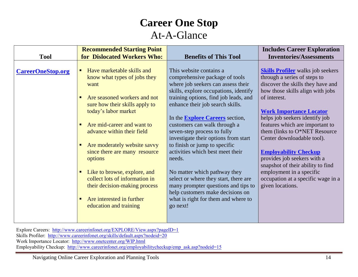# **Career One Stop**

#### At-A-Glance

|                          | <b>Recommended Starting Point</b>                                                                                                                                                                                                                                                                                                                                                                                                                          |                                                                                                                                                                                                                                                                                                                                                                                                                                                                                                                                                                                                           | <b>Includes Career Exploration</b>                                                                                                                                                                                                                                                                                                                                                                                                                                                                                                |
|--------------------------|------------------------------------------------------------------------------------------------------------------------------------------------------------------------------------------------------------------------------------------------------------------------------------------------------------------------------------------------------------------------------------------------------------------------------------------------------------|-----------------------------------------------------------------------------------------------------------------------------------------------------------------------------------------------------------------------------------------------------------------------------------------------------------------------------------------------------------------------------------------------------------------------------------------------------------------------------------------------------------------------------------------------------------------------------------------------------------|-----------------------------------------------------------------------------------------------------------------------------------------------------------------------------------------------------------------------------------------------------------------------------------------------------------------------------------------------------------------------------------------------------------------------------------------------------------------------------------------------------------------------------------|
| <b>Tool</b>              | for Dislocated Workers Who:                                                                                                                                                                                                                                                                                                                                                                                                                                | <b>Benefits of This Tool</b>                                                                                                                                                                                                                                                                                                                                                                                                                                                                                                                                                                              | <b>Inventories/Assessments</b>                                                                                                                                                                                                                                                                                                                                                                                                                                                                                                    |
| <b>CareerOneStop.org</b> | Have marketable skills and<br>٠<br>know what types of jobs they<br>want<br>Are seasoned workers and not<br>٠<br>sure how their skills apply to<br>today's labor market<br>Are mid-career and want to<br>$\blacksquare$<br>advance within their field<br>Are moderately website savvy<br>٠<br>since there are many resource<br>options<br>Like to browse, explore, and<br>$\blacksquare$<br>collect lots of information in<br>their decision-making process | This website contains a<br>comprehensive package of tools<br>where job seekers can assess their<br>skills, explore occupations, identify<br>training options, find job leads, and<br>enhance their job search skills.<br>In the <b>Explore Careers</b> section,<br>customers can walk through a<br>seven-step process to fully<br>investigate their options from start<br>to finish or jump to specific<br>activities which best meet their<br>needs.<br>No matter which pathway they<br>select or where they start, there are<br>many prompter questions and tips to<br>help customers make decisions on | <b>Skills Profiler</b> walks job seekers<br>through a series of steps to<br>discover the skills they have and<br>how those skills align with jobs<br>of interest.<br><b>Work Importance Locator</b><br>helps job seekers identify job<br>features which are important to<br>them (links to O*NET Resource<br>Center downloadable tool).<br><b>Employability Checkup</b><br>provides job seekers with a<br>snapshot of their ability to find<br>employment in a specific<br>occupation at a specific wage in a<br>given locations. |
|                          | Are interested in further<br>$\blacksquare$<br>education and training                                                                                                                                                                                                                                                                                                                                                                                      | what is right for them and where to<br>go next!                                                                                                                                                                                                                                                                                                                                                                                                                                                                                                                                                           |                                                                                                                                                                                                                                                                                                                                                                                                                                                                                                                                   |

Explore Careers:<http://www.careerinfonet.org/EXPLORE/View.aspx?pageID=1> Skills Profiler: <http://www.careerinfonet.org/skills/default.aspx?nodeid=20> Work Importance Locator: <http://www.onetcenter.org/WIP.html> Employability Checkup: [http://www.careerinfonet.org/employabilitycheckup/emp\\_ask.asp?nodeid=15](http://www.careerinfonet.org/employabilitycheckup/emp_ask.asp?nodeid=15)

Navigating Online Career Exploration and Planning Tools 14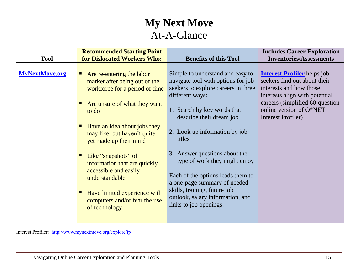### **My Next Move** At-A-Glance

|                       | <b>Recommended Starting Point</b>                                                                                                                                                                                                                                                                                                                                                                                       |                                                                                                                                                                                                                                                                                                                                                                                                                                                                             | <b>Includes Career Exploration</b>                                                                                                                                                                                  |
|-----------------------|-------------------------------------------------------------------------------------------------------------------------------------------------------------------------------------------------------------------------------------------------------------------------------------------------------------------------------------------------------------------------------------------------------------------------|-----------------------------------------------------------------------------------------------------------------------------------------------------------------------------------------------------------------------------------------------------------------------------------------------------------------------------------------------------------------------------------------------------------------------------------------------------------------------------|---------------------------------------------------------------------------------------------------------------------------------------------------------------------------------------------------------------------|
| <b>Tool</b>           | for Dislocated Workers Who:                                                                                                                                                                                                                                                                                                                                                                                             | <b>Benefits of this Tool</b>                                                                                                                                                                                                                                                                                                                                                                                                                                                | <b>Inventories/Assessments</b>                                                                                                                                                                                      |
| <b>MyNextMove.org</b> | Are re-entering the labor<br>ш<br>market after being out of the<br>workforce for a period of time<br>Are unsure of what they want<br>to do<br>Have an idea about jobs they<br>may like, but haven't quite<br>yet made up their mind<br>Like "snapshots" of<br>information that are quickly<br>accessible and easily<br>understandable<br>Have limited experience with<br>computers and/or fear the use<br>of technology | Simple to understand and easy to<br>navigate tool with options for job<br>seekers to explore careers in three<br>different ways:<br>1. Search by key words that<br>describe their dream job<br>2. Look up information by job<br>titles<br>3. Answer questions about the<br>type of work they might enjoy<br>Each of the options leads them to<br>a one-page summary of needed<br>skills, training, future job<br>outlook, salary information, and<br>links to job openings. | <b>Interest Profiler</b> helps job<br>seekers find out about their<br>interests and how those<br>interests align with potential<br>careers (simplified 60-question<br>online version of O*NET<br>Interest Profiler) |
|                       |                                                                                                                                                                                                                                                                                                                                                                                                                         |                                                                                                                                                                                                                                                                                                                                                                                                                                                                             |                                                                                                                                                                                                                     |

Interest Profiler: <http://www.mynextmove.org/explore/ip>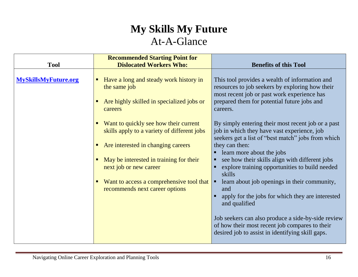# **My Skills My Future** At-A-Glance

| <b>Tool</b>                 | <b>Recommended Starting Point for</b><br><b>Dislocated Workers Who:</b>                                                                                                                         | <b>Benefits of this Tool</b>                                                                                                                                                                                                                                                                                         |
|-----------------------------|-------------------------------------------------------------------------------------------------------------------------------------------------------------------------------------------------|----------------------------------------------------------------------------------------------------------------------------------------------------------------------------------------------------------------------------------------------------------------------------------------------------------------------|
| <b>MySkillsMyFuture.org</b> | Have a long and steady work history in<br>the same job<br>Are highly skilled in specialized jobs or<br>careers                                                                                  | This tool provides a wealth of information and<br>resources to job seekers by exploring how their<br>most recent job or past work experience has<br>prepared them for potential future jobs and<br>careers.                                                                                                          |
|                             | Want to quickly see how their current<br>skills apply to a variety of different jobs<br>Are interested in changing careers<br>May be interested in training for their<br>next job or new career | By simply entering their most recent job or a past<br>job in which they have vast experience, job<br>seekers get a list of "best match" jobs from which<br>they can then:<br>learn more about the jobs<br>see how their skills align with different jobs<br>explore training opportunities to build needed<br>skills |
|                             | Want to access a comprehensive tool that<br>recommends next career options                                                                                                                      | learn about job openings in their community,<br>п<br>and<br>apply for the jobs for which they are interested<br>and qualified<br>Job seekers can also produce a side-by-side review<br>of how their most recent job compares to their<br>desired job to assist in identifying skill gaps.                            |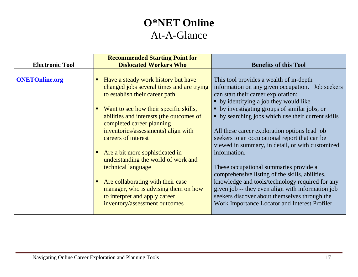### **O\*NET Online** At-A-Glance

| <b>Electronic Tool</b> | <b>Recommended Starting Point for</b><br><b>Dislocated Workers Who</b>                                                                                                                                                                                                                                                                                                                                                                                                                                                                                               | <b>Benefits of this Tool</b>                                                                                                                                                                                                                                                                                                                                                                                                                                                                                                                                                                                                                                                                                                                                      |
|------------------------|----------------------------------------------------------------------------------------------------------------------------------------------------------------------------------------------------------------------------------------------------------------------------------------------------------------------------------------------------------------------------------------------------------------------------------------------------------------------------------------------------------------------------------------------------------------------|-------------------------------------------------------------------------------------------------------------------------------------------------------------------------------------------------------------------------------------------------------------------------------------------------------------------------------------------------------------------------------------------------------------------------------------------------------------------------------------------------------------------------------------------------------------------------------------------------------------------------------------------------------------------------------------------------------------------------------------------------------------------|
| <b>ONETOnline.org</b>  | Have a steady work history but have<br>$\blacksquare$<br>changed jobs several times and are trying<br>to establish their career path<br>Want to see how their specific skills,<br>abilities and interests (the outcomes of<br>completed career planning<br>inventories/assessments) align with<br>careers of interest<br>Are a bit more sophisticated in<br>understanding the world of work and<br>technical language<br>Are collaborating with their case<br>manager, who is advising them on how<br>to interpret and apply career<br>inventory/assessment outcomes | This tool provides a wealth of in-depth<br>information on any given occupation. Job seekers<br>can start their career exploration:<br>• by identifying a job they would like<br>• by investigating groups of similar jobs, or<br>• by searching jobs which use their current skills<br>All these career exploration options lead job<br>seekers to an occupational report that can be<br>viewed in summary, in detail, or with customized<br>information.<br>These occupational summaries provide a<br>comprehensive listing of the skills, abilities,<br>knowledge and tools/technology required for any<br>given job -- they even align with information job<br>seekers discover about themselves through the<br>Work Importance Locator and Interest Profiler. |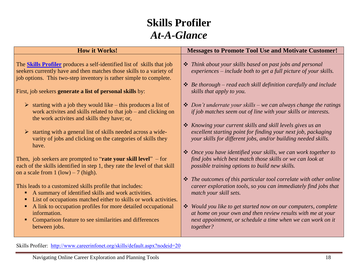#### **Skills Profiler** *At-A-Glance*

| <b>How it Works!</b>                                                                                                                                                                                                                                                                                                                                                              | <b>Messages to Promote Tool Use and Motivate Customer!</b>                                                                                                                                                                                                                                                              |
|-----------------------------------------------------------------------------------------------------------------------------------------------------------------------------------------------------------------------------------------------------------------------------------------------------------------------------------------------------------------------------------|-------------------------------------------------------------------------------------------------------------------------------------------------------------------------------------------------------------------------------------------------------------------------------------------------------------------------|
| The <b>Skills Profiler</b> produces a self-identified list of skills that job<br>seekers currently have and then matches those skills to a variety of<br>job options. This two-step inventory is rather simple to complete.<br>First, job seekers <b>generate a list of personal skills</b> by:<br>$\triangleright$ starting with a job they would like – this produces a list of | ❖ Think about your skills based on past jobs and personal<br>experiences – include both to get a full picture of your skills.<br>$\triangle$ Be thorough – read each skill definition carefully and include<br>skills that apply to you.<br>$\triangleq$ Don't underrate your skills – we can always change the ratings |
| work activites and skills related to that job – and clicking on<br>the work activites and skills they have; or,<br>$\triangleright$ starting with a general list of skills needed across a wide-<br>varity of jobs and clicking on the categories of skills they<br>have.                                                                                                         | if job matches seem out of line with your skills or interests.<br>* Knowing your current skills and skill levels gives us an<br>excellent starting point for finding your next job, packaging<br>your skills for different jobs, and/or building needed skills.                                                         |
| Then, job seekers are prompted to "rate your skill level" $-$ for<br>each of the skills identified in step 1, they rate the level of that skill<br>on a scale from $1 (low) - 7 (high)$ .                                                                                                                                                                                         | ❖ Once you have identified your skills, we can work together to<br>find jobs which best match those skills or we can look at<br>possible training options to build new skills.<br>$\div$ The outcomes of this particular tool correlate with other online                                                               |
| This leads to a customized skills profile that includes:<br>A summary of identified skills and work activities.<br>List of occupations matched either to skills or work activities.                                                                                                                                                                                               | career exploration tools, so you can immediately find jobs that<br>match your skill sets.                                                                                                                                                                                                                               |
| A link to occupation profiles for more detailed occupational<br>information.<br>Comparison feature to see similarities and differences<br>٠<br>between jobs.                                                                                                                                                                                                                      | ❖ Would you like to get started now on our computers, complete<br>at home on your own and then review results with me at your<br>next appointment, or schedule a time when we can work on it<br>together?                                                                                                               |

Skills Profiler: <http://www.careerinfonet.org/skills/default.aspx?nodeid=20>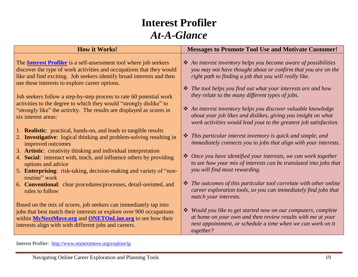#### **Interest Profiler** *At-A-Glance*

Interest Profiler: <http://www.mynextmove.org/explore/ip>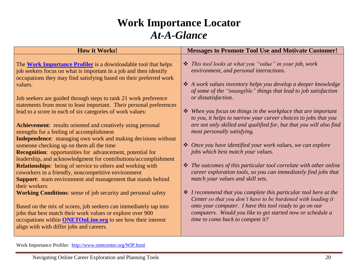#### **Work Importance Locator** *At-A-Glance*

Work Importance Profiler: <http://www.onetcenter.org/WIP.html>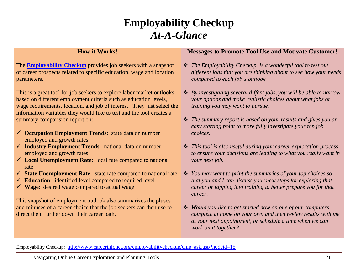#### **Employability Checkup** *At-A-Glance*

| <b>How it Works!</b>                                                                                                                                                                                                                                                                        | <b>Messages to Promote Tool Use and Motivate Customer!</b>                                                                                                                                                                     |
|---------------------------------------------------------------------------------------------------------------------------------------------------------------------------------------------------------------------------------------------------------------------------------------------|--------------------------------------------------------------------------------------------------------------------------------------------------------------------------------------------------------------------------------|
| The <b>Employability Checkup</b> provides job seekers with a snapshot<br>of career prospects related to specific education, wage and location<br>parameters.                                                                                                                                | <i><b>❖</b></i> The Employability Checkup is a wonderful tool to test out<br>different jobs that you are thinking about to see how your needs<br>compared to each job's outlook.                                               |
| This is a great tool for job seekers to explore labor market outlooks<br>based on different employment criteria such as education levels,<br>wage requirements, location, and job of interest. They just select the<br>information variables they would like to test and the tool creates a | $\triangle$ By investigating several diffent jobs, you will be able to narrow<br>your options and make realistic choices about what jobs or<br>training you may want to pursue.                                                |
| summary comparision report on:                                                                                                                                                                                                                                                              | $\triangleq$ The summary report is based on your results and gives you an<br>easy starting point to more fully investigate your top job                                                                                        |
| $\checkmark$ Occupation Employment Trends: state data on number<br>employed and growth rates                                                                                                                                                                                                | choices.                                                                                                                                                                                                                       |
| $\checkmark$ Industry Employment Trends: national data on number<br>employed and growth rates<br>$\checkmark$ Local Unemployment Rate: local rate compared to national                                                                                                                      | ❖ This tool is also useful during your career exploration process<br>to ensure your decisions are leading to what you really want in<br>your next job.                                                                         |
| rate                                                                                                                                                                                                                                                                                        |                                                                                                                                                                                                                                |
| $\checkmark$ State Unemployment Rate: state rate compared to national rate<br>$\checkmark$ Education: identified level compared to required level<br>$\checkmark$ Wage: desired wage compared to actual wage                                                                                | $\mathbf{\hat{\cdot}$ You may want to print the summaries of your top choices so<br>that you and I can discuss your next steps for exploring that<br>career or tapping into training to better prepare you for that<br>career. |
| This snapshot of employment outlook also summarizes the pluses                                                                                                                                                                                                                              |                                                                                                                                                                                                                                |
| and minuses of a career choice that the job seekers can then use to<br>direct them further down their career path.                                                                                                                                                                          | ❖ Would you like to get started now on one of our computers,<br>complete at home on your own and then review results with me<br>at your next appointment, or schedule a time when we can<br>work on it together?               |

Employability Checkup: [http://www.careerinfonet.org/employabilitycheckup/emp\\_ask.asp?nodeid=15](http://www.careerinfonet.org/employabilitycheckup/emp_ask.asp?nodeid=15)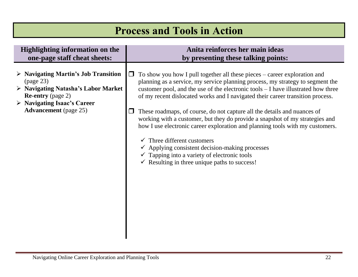## **Process and Tools in Action**

#### **Highlighting information on the one-page staff cheat sheets:**

- **Navigating Martin's Job Transition** (page 23)
- **Navigating Natasha's Labor Market Re-entry** (page 2)
- **Navigating Isaac's Career Advancement** (page 25)

#### **Anita reinforces her main ideas by presenting these talking points:**

- $\Box$  To show you how I pull together all these pieces career exploration and planning as a service, my service planning process, my strategy to segment the customer pool, and the use of the electronic tools – I have illustrated how three of my recent dislocated works and I navigated their career transition process.
- $\Box$  These roadmaps, of course, do not capture all the details and nuances of working with a customer, but they do provide a snapshot of my strategies and how I use electronic career exploration and planning tools with my customers.
	- $\checkmark$  Three different customers
	- $\checkmark$  Applying consistent decision-making processes
	- $\checkmark$  Tapping into a variety of electronic tools
	- $\checkmark$  Resulting in three unique paths to success!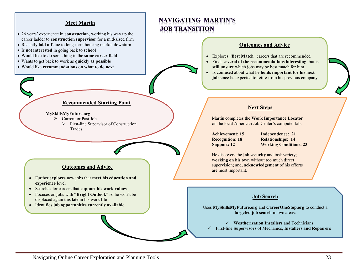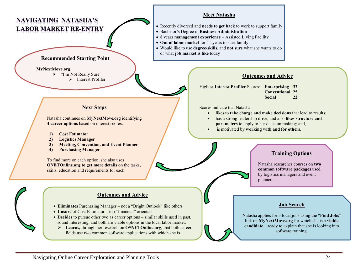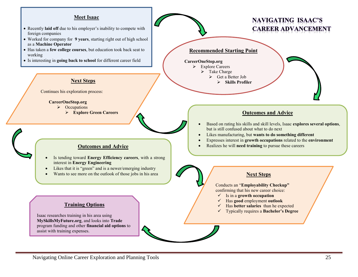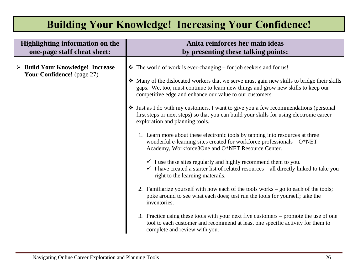# **Building Your Knowledge! Increasing Your Confidence!**

| <b>Highlighting information on the</b>                                        | Anita reinforces her main ideas                                                                                                                                                                                                                                                                                                                                                                                                                                                                                                                                                                                                                                                                                                                                                                                                                                                                                                                                                                                                                                                                                                                                                                                                                                                                                                                                                                |
|-------------------------------------------------------------------------------|------------------------------------------------------------------------------------------------------------------------------------------------------------------------------------------------------------------------------------------------------------------------------------------------------------------------------------------------------------------------------------------------------------------------------------------------------------------------------------------------------------------------------------------------------------------------------------------------------------------------------------------------------------------------------------------------------------------------------------------------------------------------------------------------------------------------------------------------------------------------------------------------------------------------------------------------------------------------------------------------------------------------------------------------------------------------------------------------------------------------------------------------------------------------------------------------------------------------------------------------------------------------------------------------------------------------------------------------------------------------------------------------|
| one-page staff cheat sheet:                                                   | by presenting these talking points:                                                                                                                                                                                                                                                                                                                                                                                                                                                                                                                                                                                                                                                                                                                                                                                                                                                                                                                                                                                                                                                                                                                                                                                                                                                                                                                                                            |
| $\triangleright$ Build Your Knowledge! Increase<br>Your Confidence! (page 27) | $\triangle$ The world of work is ever-changing – for job seekers and for us!<br>• Many of the dislocated workers that we serve must gain new skills to bridge their skills<br>gaps. We, too, must continue to learn new things and grow new skills to keep our<br>competitive edge and enhance our value to our customers.<br>• Just as I do with my customers, I want to give you a few recommendations (personal<br>first steps or next steps) so that you can build your skills for using electronic career<br>exploration and planning tools.<br>1. Learn more about these electronic tools by tapping into resources at three<br>wonderful e-learning sites created for workforce professionals $- O*NET$<br>Academy, Workforce3One and O*NET Resource Center.<br>$\checkmark$ I use these sites regularly and highly recommend them to you.<br>$\checkmark$ I have created a starter list of related resources – all directly linked to take you<br>right to the learning materails.<br>2. Familiarize yourself with how each of the tools works $-$ go to each of the tools;<br>poke around to see what each does; test run the tools for yourself; take the<br>inventories.<br>3. Practice using these tools with your next five customers – promote the use of one<br>tool to each customer and recommend at least one specific activity for them to<br>complete and review with you. |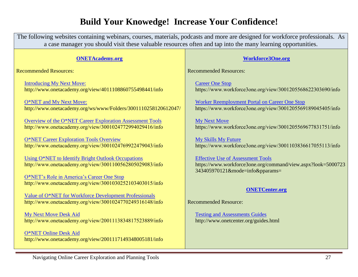#### **Build Your Knowedge! Increase Your Confidence!**

The following websites containing webinars, courses, materials, podcasts and more are designed for workforce professionals. As a case manager you should visit these valuable resources often and tap into the many learning opportunities.

| <b>ONETAcademy.org</b>                                                                                                | <b>Workforce3One.org</b>                                                                                                                    |
|-----------------------------------------------------------------------------------------------------------------------|---------------------------------------------------------------------------------------------------------------------------------------------|
| <b>Recommended Resources:</b>                                                                                         | <b>Recommended Resources:</b>                                                                                                               |
| <b>Introducing My Next Move:</b><br>http://www.onetacademy.org/view/4011108860755498441/info                          | <b>Career One Stop</b><br>https://www.workforce3one.org/view/3001205568622303690/info                                                       |
| O*NET and My Next Move:<br>http://www.onetacademy.org/ws/www/Folders/3001110258120612047/                             | <b>Worker Reemployment Portal on Career One Stop</b><br>https://www.workforce3one.org/view/3001205569189045405/info                         |
| Overview of the O*NET Career Exploration Assessment Tools<br>http://www.onetacademy.org/view/3001024772994029416/info | <b>My Next Move</b><br>https://www.workforce3one.org/view/3001205569677831751/info                                                          |
| O*NET Career Exploration Tools Overview<br>http://www.onetacademy.org/view/3001024769922479043/info                   | <b>My Skills My Future</b><br>https://www.workforce3one.org/view/3001103836617055113/info                                                   |
| Using O*NET to Identify Bright Outlook Occupations<br>http://www.onetacademy.org/view/3001100562805029083/info        | <b>Effective Use of Assessment Tools</b><br>https://www.workforce3one.org/command/view.aspx?look=5000723<br>343405970121&mode=info&pparams= |
| O*NET's Role in America's Career One Stop<br>http://www.onetacademy.org/view/3001030252103403015/info                 | <b>ONETCenter.org</b>                                                                                                                       |
| Value of O*NET for Workforce Development Professionals<br>http://www.onetacademy.org/view/3001024770249316148/info    | <b>Recommended Resource:</b>                                                                                                                |
| <b>My Next Move Desk Aid</b>                                                                                          | <b>Testing and Assessments Guides</b>                                                                                                       |

http://www.onetacademy.org/view/2001113834817523889/info

[O\\*NET Online](http://www.onetacademy.org/view/2001117149348005181/info) Desk Aid http://www.onetacademy.org/view/2001117149348005181/info

[Testing and Assessments Guides](http://www.onetcenter.org/guides.html) http://www.onetcenter.org/guides.html